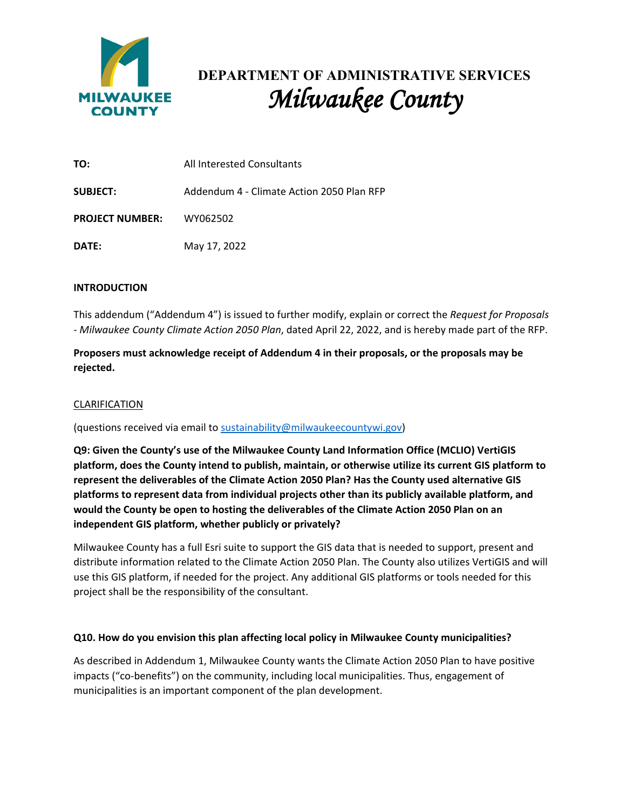

# **DEPARTMENT OF ADMINISTRATIVE SERVICES** *Milwaukee County*

| TO:                             | All Interested Consultants                |
|---------------------------------|-------------------------------------------|
| <b>SUBJECT:</b>                 | Addendum 4 - Climate Action 2050 Plan RFP |
| <b>PROJECT NUMBER:</b> WY062502 |                                           |
| DATE:                           | May 17, 2022                              |

### **INTRODUCTION**

This addendum ("Addendum 4") is issued to further modify, explain or correct the *Request for Proposals - Milwaukee County Climate Action 2050 Plan*, dated April 22, 2022, and is hereby made part of the RFP.

**Proposers must acknowledge receipt of Addendum 4 in their proposals, or the proposals may be rejected.**

## CLARIFICATION

(questions received via email to [sustainability@milwaukeecountywi.gov\)](mailto:sustainability@milwaukeecountywi.gov)

**Q9: Given the County's use of the Milwaukee County Land Information Office (MCLIO) VertiGIS platform, does the County intend to publish, maintain, or otherwise utilize its current GIS platform to represent the deliverables of the Climate Action 2050 Plan? Has the County used alternative GIS platforms to represent data from individual projects other than its publicly available platform, and would the County be open to hosting the deliverables of the Climate Action 2050 Plan on an independent GIS platform, whether publicly or privately?**

Milwaukee County has a full Esri suite to support the GIS data that is needed to support, present and distribute information related to the Climate Action 2050 Plan. The County also utilizes VertiGIS and will use this GIS platform, if needed for the project. Any additional GIS platforms or tools needed for this project shall be the responsibility of the consultant.

### **Q10. How do you envision this plan affecting local policy in Milwaukee County municipalities?**

As described in Addendum 1, Milwaukee County wants the Climate Action 2050 Plan to have positive impacts ("co-benefits") on the community, including local municipalities. Thus, engagement of municipalities is an important component of the plan development.